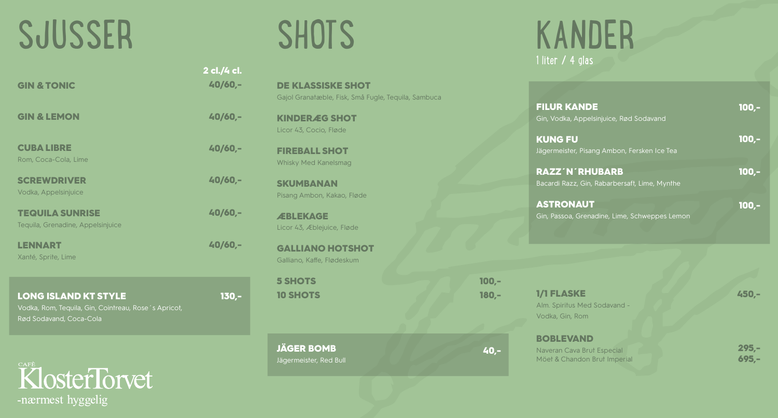### SJUSSER

GIN & TONIC

GIN & LEMON

CUBA LIBRE

Rom, Coca-Cola, Lime

**SCREWDRIVER** Vodka, Appelsinjuice

TEQUILA SUNRISE Tequila, Grenadine, Appelsinjuice

LENNART Xanté, Sprite, Lime

| <b>LONG ISLAND KT STYLE</b>                          | -130,- |
|------------------------------------------------------|--------|
| Vodka, Rom, Tequila, Gin, Cointreau, Rose's Apricot, |        |
| Rød Sodavand, Coca-Cola                              |        |

KlosterTorvet -nærmest hyggelig

### **SHOTS**

DE KLASSISKE SHOT Gajol Granatæble, Fisk, Små Fugle, Tequila, Sambuca

KINDERÆG SHOT Licor 43, Cocio, Fløde

2 cl./4 cl. 40/60,-

40/60,-

40/60,-

40/60,-

40/60,-

40/60,-

FIREBALL SHOT Whisky Med Kanelsmag

**SKUMBANAN** Pisang Ambon, Kakao, Fløde

**ÆBLEKAGE** Licor 43, Æblejuice, Fløde

GALLIANO HOTSHOT Galliano, Kaffe, Flødeskum

5 SHOTS 10 SHOTS

JÄGER BOMB Jägermeister, Red Bull

#### KANDER 1 liter / 4 glas

| <b>FILUR KANDE</b>                                                   | $100 -$ |
|----------------------------------------------------------------------|---------|
| Gin, Vodka, Appelsinjuice, Rød Sodavand<br><b>KUNG FU</b>            | $100 -$ |
| Jägermeister, Pisang Ambon, Fersken Ice Tea<br><b>RAZZ'N'RHUBARB</b> | $100 -$ |
| Bacardi Razz, Gin, Rabarbersaft, Lime, Mynthe<br><b>ASTRONAUT</b>    | $100 -$ |
| Gin, Passoa, Grenadine, Lime, Schweppes Lemon                        |         |
|                                                                      |         |

1/1 FLASKE Alm. Spiritus Med Sodavand - Vodka, Gin, Rom

Naveran Cava Brut Especial Möet & Chandon Brut Imperial

BOBLEVAND

100,- 180,-

40,-

450,-

295,- 695,-